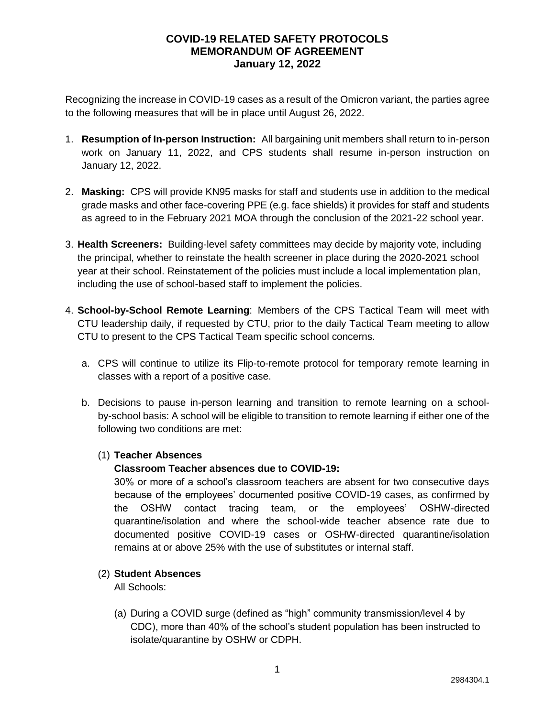Recognizing the increase in COVID-19 cases as a result of the Omicron variant, the parties agree to the following measures that will be in place until August 26, 2022.

- 1. **Resumption of In-person Instruction:** All bargaining unit members shall return to in-person work on January 11, 2022, and CPS students shall resume in-person instruction on January 12, 2022.
- 2. **Masking:** CPS will provide KN95 masks for staff and students use in addition to the medical grade masks and other face-covering PPE (e.g. face shields) it provides for staff and students as agreed to in the February 2021 MOA through the conclusion of the 2021-22 school year.
- 3. **Health Screeners:** Building-level safety committees may decide by majority vote, including the principal, whether to reinstate the health screener in place during the 2020-2021 school year at their school. Reinstatement of the policies must include a local implementation plan, including the use of school-based staff to implement the policies.
- 4. **School-by-School Remote Learning**: Members of the CPS Tactical Team will meet with CTU leadership daily, if requested by CTU, prior to the daily Tactical Team meeting to allow CTU to present to the CPS Tactical Team specific school concerns.
	- a. CPS will continue to utilize its Flip-to-remote protocol for temporary remote learning in classes with a report of a positive case.
	- b. Decisions to pause in-person learning and transition to remote learning on a schoolby-school basis: A school will be eligible to transition to remote learning if either one of the following two conditions are met:

# (1) **Teacher Absences**

# **Classroom Teacher absences due to COVID-19:**

30% or more of a school's classroom teachers are absent for two consecutive days because of the employees' documented positive COVID-19 cases, as confirmed by the OSHW contact tracing team, or the employees' OSHW-directed quarantine/isolation and where the school-wide teacher absence rate due to documented positive COVID-19 cases or OSHW-directed quarantine/isolation remains at or above 25% with the use of substitutes or internal staff.

#### (2) **Student Absences**

All Schools:

(a) During a COVID surge (defined as "high" community transmission/level 4 by CDC), more than 40% of the school's student population has been instructed to isolate/quarantine by OSHW or CDPH.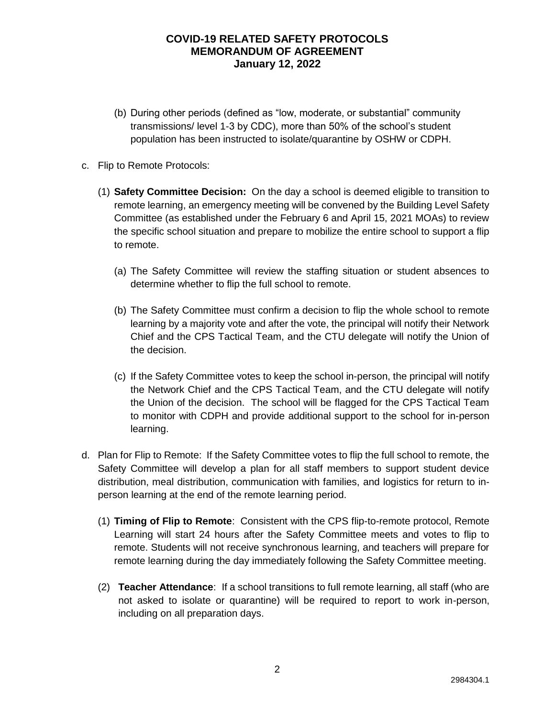- (b) During other periods (defined as "low, moderate, or substantial" community transmissions/ level 1-3 by CDC), more than 50% of the school's student population has been instructed to isolate/quarantine by OSHW or CDPH.
- c. Flip to Remote Protocols:
	- (1) **Safety Committee Decision:** On the day a school is deemed eligible to transition to remote learning, an emergency meeting will be convened by the Building Level Safety Committee (as established under the February 6 and April 15, 2021 MOAs) to review the specific school situation and prepare to mobilize the entire school to support a flip to remote.
		- (a) The Safety Committee will review the staffing situation or student absences to determine whether to flip the full school to remote.
		- (b) The Safety Committee must confirm a decision to flip the whole school to remote learning by a majority vote and after the vote, the principal will notify their Network Chief and the CPS Tactical Team, and the CTU delegate will notify the Union of the decision.
		- (c) If the Safety Committee votes to keep the school in-person, the principal will notify the Network Chief and the CPS Tactical Team, and the CTU delegate will notify the Union of the decision. The school will be flagged for the CPS Tactical Team to monitor with CDPH and provide additional support to the school for in-person learning.
- d. Plan for Flip to Remote: If the Safety Committee votes to flip the full school to remote, the Safety Committee will develop a plan for all staff members to support student device distribution, meal distribution, communication with families, and logistics for return to inperson learning at the end of the remote learning period.
	- (1) **Timing of Flip to Remote**: Consistent with the CPS flip-to-remote protocol, Remote Learning will start 24 hours after the Safety Committee meets and votes to flip to remote. Students will not receive synchronous learning, and teachers will prepare for remote learning during the day immediately following the Safety Committee meeting.
	- (2) **Teacher Attendance**: If a school transitions to full remote learning, all staff (who are not asked to isolate or quarantine) will be required to report to work in-person, including on all preparation days.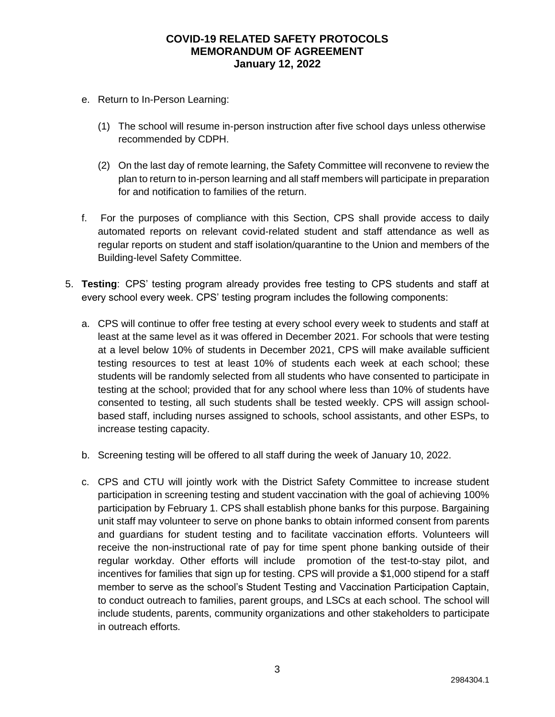- e. Return to In-Person Learning:
	- (1) The school will resume in-person instruction after five school days unless otherwise recommended by CDPH.
	- (2) On the last day of remote learning, the Safety Committee will reconvene to review the plan to return to in-person learning and all staff members will participate in preparation for and notification to families of the return.
- f. For the purposes of compliance with this Section, CPS shall provide access to daily automated reports on relevant covid-related student and staff attendance as well as regular reports on student and staff isolation/quarantine to the Union and members of the Building-level Safety Committee.
- 5. **Testing**: CPS' testing program already provides free testing to CPS students and staff at every school every week. CPS' testing program includes the following components:
	- a. CPS will continue to offer free testing at every school every week to students and staff at least at the same level as it was offered in December 2021. For schools that were testing at a level below 10% of students in December 2021, CPS will make available sufficient testing resources to test at least 10% of students each week at each school; these students will be randomly selected from all students who have consented to participate in testing at the school; provided that for any school where less than 10% of students have consented to testing, all such students shall be tested weekly. CPS will assign schoolbased staff, including nurses assigned to schools, school assistants, and other ESPs, to increase testing capacity.
	- b. Screening testing will be offered to all staff during the week of January 10, 2022.
	- c. CPS and CTU will jointly work with the District Safety Committee to increase student participation in screening testing and student vaccination with the goal of achieving 100% participation by February 1. CPS shall establish phone banks for this purpose. Bargaining unit staff may volunteer to serve on phone banks to obtain informed consent from parents and guardians for student testing and to facilitate vaccination efforts. Volunteers will receive the non-instructional rate of pay for time spent phone banking outside of their regular workday. Other efforts will include promotion of the test-to-stay pilot, and incentives for families that sign up for testing. CPS will provide a \$1,000 stipend for a staff member to serve as the school's Student Testing and Vaccination Participation Captain, to conduct outreach to families, parent groups, and LSCs at each school. The school will include students, parents, community organizations and other stakeholders to participate in outreach efforts.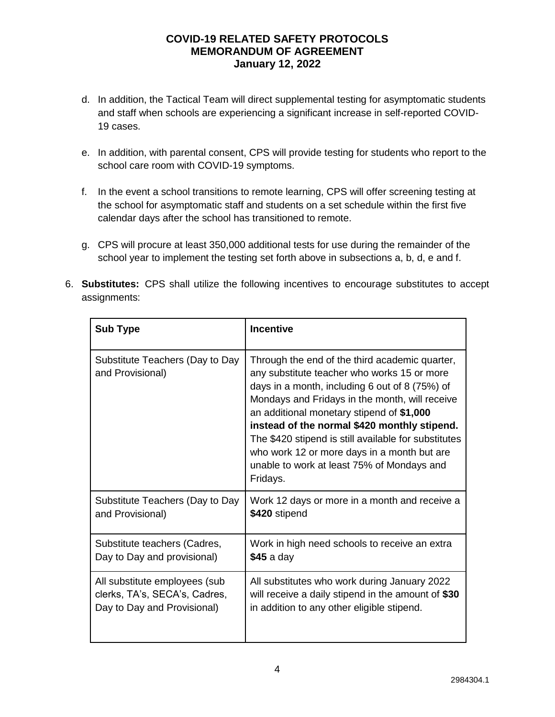- d. In addition, the Tactical Team will direct supplemental testing for asymptomatic students and staff when schools are experiencing a significant increase in self-reported COVID-19 cases.
- e. In addition, with parental consent, CPS will provide testing for students who report to the school care room with COVID-19 symptoms.
- f. In the event a school transitions to remote learning, CPS will offer screening testing at the school for asymptomatic staff and students on a set schedule within the first five calendar days after the school has transitioned to remote.
- g. CPS will procure at least 350,000 additional tests for use during the remainder of the school year to implement the testing set forth above in subsections a, b, d, e and f.
- 6. **Substitutes:** CPS shall utilize the following incentives to encourage substitutes to accept assignments:

| <b>Sub Type</b>                                     | <b>Incentive</b>                                                                                                                                                                                                                                                                                                                                                                                                                                                |
|-----------------------------------------------------|-----------------------------------------------------------------------------------------------------------------------------------------------------------------------------------------------------------------------------------------------------------------------------------------------------------------------------------------------------------------------------------------------------------------------------------------------------------------|
| Substitute Teachers (Day to Day<br>and Provisional) | Through the end of the third academic quarter,<br>any substitute teacher who works 15 or more<br>days in a month, including 6 out of 8 (75%) of<br>Mondays and Fridays in the month, will receive<br>an additional monetary stipend of \$1,000<br>instead of the normal \$420 monthly stipend.<br>The \$420 stipend is still available for substitutes<br>who work 12 or more days in a month but are<br>unable to work at least 75% of Mondays and<br>Fridays. |
| Substitute Teachers (Day to Day                     | Work 12 days or more in a month and receive a                                                                                                                                                                                                                                                                                                                                                                                                                   |
| and Provisional)                                    | \$420 stipend                                                                                                                                                                                                                                                                                                                                                                                                                                                   |
| Substitute teachers (Cadres,                        | Work in high need schools to receive an extra                                                                                                                                                                                                                                                                                                                                                                                                                   |
| Day to Day and provisional)                         | $$45$ a day                                                                                                                                                                                                                                                                                                                                                                                                                                                     |
| All substitute employees (sub                       | All substitutes who work during January 2022                                                                                                                                                                                                                                                                                                                                                                                                                    |
| clerks, TA's, SECA's, Cadres,                       | will receive a daily stipend in the amount of \$30                                                                                                                                                                                                                                                                                                                                                                                                              |
| Day to Day and Provisional)                         | in addition to any other eligible stipend.                                                                                                                                                                                                                                                                                                                                                                                                                      |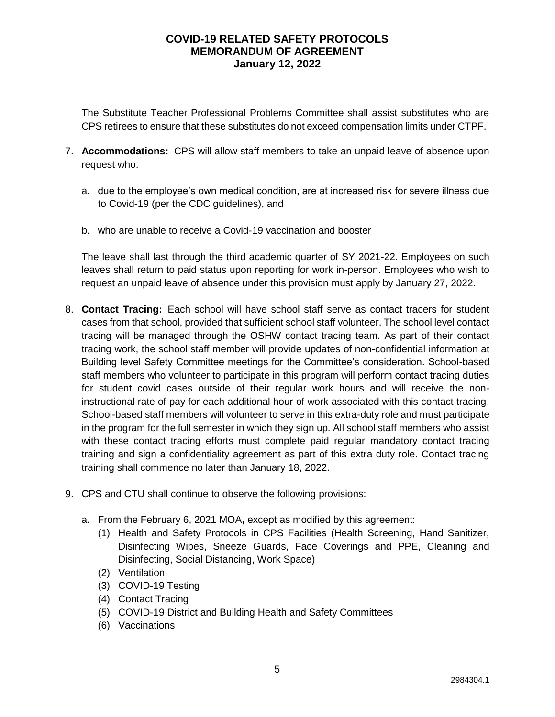The Substitute Teacher Professional Problems Committee shall assist substitutes who are CPS retirees to ensure that these substitutes do not exceed compensation limits under CTPF.

- 7. **Accommodations:** CPS will allow staff members to take an unpaid leave of absence upon request who:
	- a. due to the employee's own medical condition, are at increased risk for severe illness due to Covid-19 (per the CDC guidelines), and
	- b. who are unable to receive a Covid-19 vaccination and booster

The leave shall last through the third academic quarter of SY 2021-22. Employees on such leaves shall return to paid status upon reporting for work in-person. Employees who wish to request an unpaid leave of absence under this provision must apply by January 27, 2022.

- 8. **Contact Tracing:** Each school will have school staff serve as contact tracers for student cases from that school, provided that sufficient school staff volunteer. The school level contact tracing will be managed through the OSHW contact tracing team. As part of their contact tracing work, the school staff member will provide updates of non-confidential information at Building level Safety Committee meetings for the Committee's consideration. School-based staff members who volunteer to participate in this program will perform contact tracing duties for student covid cases outside of their regular work hours and will receive the noninstructional rate of pay for each additional hour of work associated with this contact tracing. School-based staff members will volunteer to serve in this extra-duty role and must participate in the program for the full semester in which they sign up. All school staff members who assist with these contact tracing efforts must complete paid regular mandatory contact tracing training and sign a confidentiality agreement as part of this extra duty role. Contact tracing training shall commence no later than January 18, 2022.
- 9. CPS and CTU shall continue to observe the following provisions:
	- a. From the February 6, 2021 MOA**,** except as modified by this agreement:
		- (1) Health and Safety Protocols in CPS Facilities (Health Screening, Hand Sanitizer, Disinfecting Wipes, Sneeze Guards, Face Coverings and PPE, Cleaning and Disinfecting, Social Distancing, Work Space)
		- (2) Ventilation
		- (3) COVID-19 Testing
		- (4) Contact Tracing
		- (5) COVID-19 District and Building Health and Safety Committees
		- (6) Vaccinations